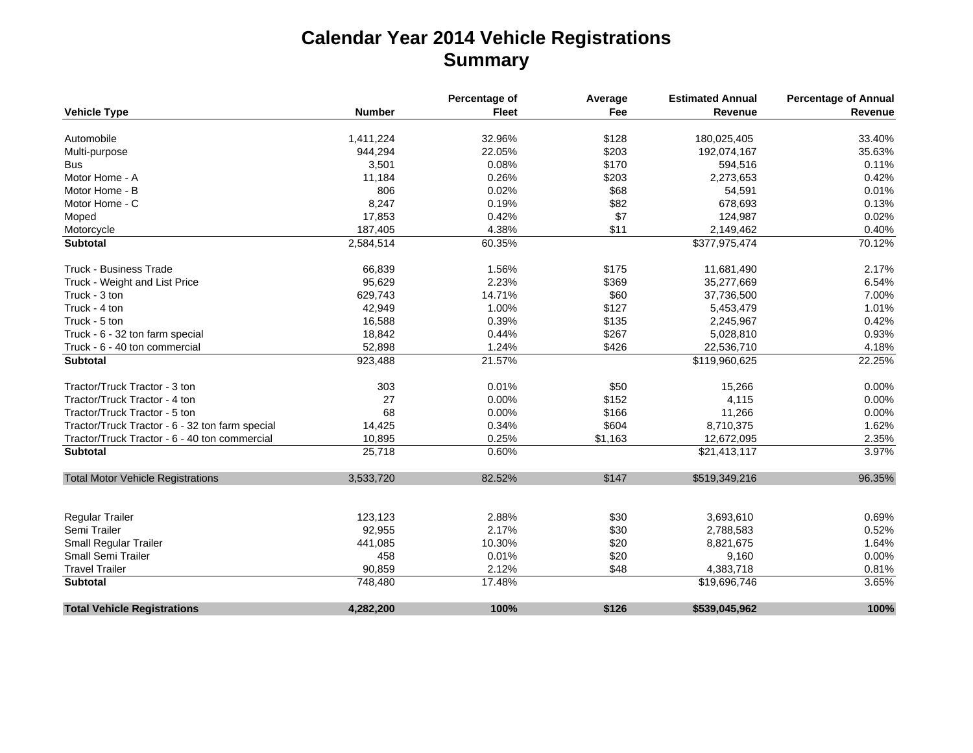## **Calendar Year 2014 Vehicle Registrations Summary**

|                                                 |               | Percentage of | Average | <b>Estimated Annual</b> | <b>Percentage of Annual</b> |
|-------------------------------------------------|---------------|---------------|---------|-------------------------|-----------------------------|
| <b>Vehicle Type</b>                             | <b>Number</b> | <b>Fleet</b>  | Fee     | Revenue                 | Revenue                     |
| Automobile                                      | 1,411,224     | 32.96%        | \$128   | 180,025,405             | 33.40%                      |
| Multi-purpose                                   | 944,294       | 22.05%        | \$203   | 192,074,167             | 35.63%                      |
| <b>Bus</b>                                      | 3,501         | 0.08%         | \$170   | 594,516                 | 0.11%                       |
| Motor Home - A                                  | 11,184        | 0.26%         | \$203   | 2,273,653               | 0.42%                       |
| Motor Home - B                                  | 806           | 0.02%         | \$68    | 54,591                  | 0.01%                       |
| Motor Home - C                                  | 8,247         | 0.19%         | \$82    |                         | 0.13%                       |
|                                                 | 17,853        | 0.42%         | \$7     | 678,693                 | 0.02%                       |
| Moped                                           |               |               |         | 124,987                 |                             |
| Motorcycle                                      | 187,405       | 4.38%         | \$11    | 2,149,462               | 0.40%                       |
| <b>Subtotal</b>                                 | 2,584,514     | 60.35%        |         | \$377,975,474           | 70.12%                      |
| <b>Truck - Business Trade</b>                   | 66,839        | 1.56%         | \$175   | 11,681,490              | 2.17%                       |
| Truck - Weight and List Price                   | 95,629        | 2.23%         | \$369   | 35,277,669              | 6.54%                       |
| Truck - 3 ton                                   | 629,743       | 14.71%        | \$60    | 37,736,500              | 7.00%                       |
| Truck - 4 ton                                   | 42,949        | 1.00%         | \$127   | 5,453,479               | 1.01%                       |
| Truck - 5 ton                                   | 16,588        | 0.39%         | \$135   | 2,245,967               | 0.42%                       |
| Truck - 6 - 32 ton farm special                 | 18,842        | 0.44%         | \$267   | 5,028,810               | 0.93%                       |
| Truck - 6 - 40 ton commercial                   | 52,898        | 1.24%         | \$426   | 22,536,710              | 4.18%                       |
| <b>Subtotal</b>                                 | 923,488       | 21.57%        |         | \$119,960,625           | 22.25%                      |
| Tractor/Truck Tractor - 3 ton                   | 303           | 0.01%         | \$50    | 15,266                  | 0.00%                       |
| Tractor/Truck Tractor - 4 ton                   | 27            | 0.00%         | \$152   | 4,115                   | 0.00%                       |
| Tractor/Truck Tractor - 5 ton                   | 68            | 0.00%         | \$166   | 11,266                  | 0.00%                       |
| Tractor/Truck Tractor - 6 - 32 ton farm special | 14,425        | 0.34%         | \$604   | 8,710,375               | 1.62%                       |
| Tractor/Truck Tractor - 6 - 40 ton commercial   | 10,895        | 0.25%         | \$1,163 | 12,672,095              | 2.35%                       |
| <b>Subtotal</b>                                 | 25,718        | 0.60%         |         | \$21,413,117            | 3.97%                       |
| <b>Total Motor Vehicle Registrations</b>        | 3,533,720     | 82.52%        | \$147   | \$519,349,216           | 96.35%                      |
|                                                 |               |               |         |                         |                             |
|                                                 |               |               |         |                         |                             |
| Regular Trailer                                 | 123,123       | 2.88%         | \$30    | 3,693,610               | 0.69%                       |
| Semi Trailer                                    | 92,955        | 2.17%         | \$30    | 2,788,583               | 0.52%                       |
| Small Regular Trailer                           | 441,085       | 10.30%        | \$20    | 8,821,675               | 1.64%                       |
| Small Semi Trailer                              | 458           | 0.01%         | \$20    | 9,160                   | 0.00%                       |
| <b>Travel Trailer</b>                           | 90,859        | 2.12%         | \$48    | 4,383,718               | 0.81%                       |
| Subtotal                                        | 748,480       | 17.48%        |         | \$19,696,746            | 3.65%                       |
| <b>Total Vehicle Registrations</b>              | 4,282,200     | 100%          | \$126   | \$539,045,962           | 100%                        |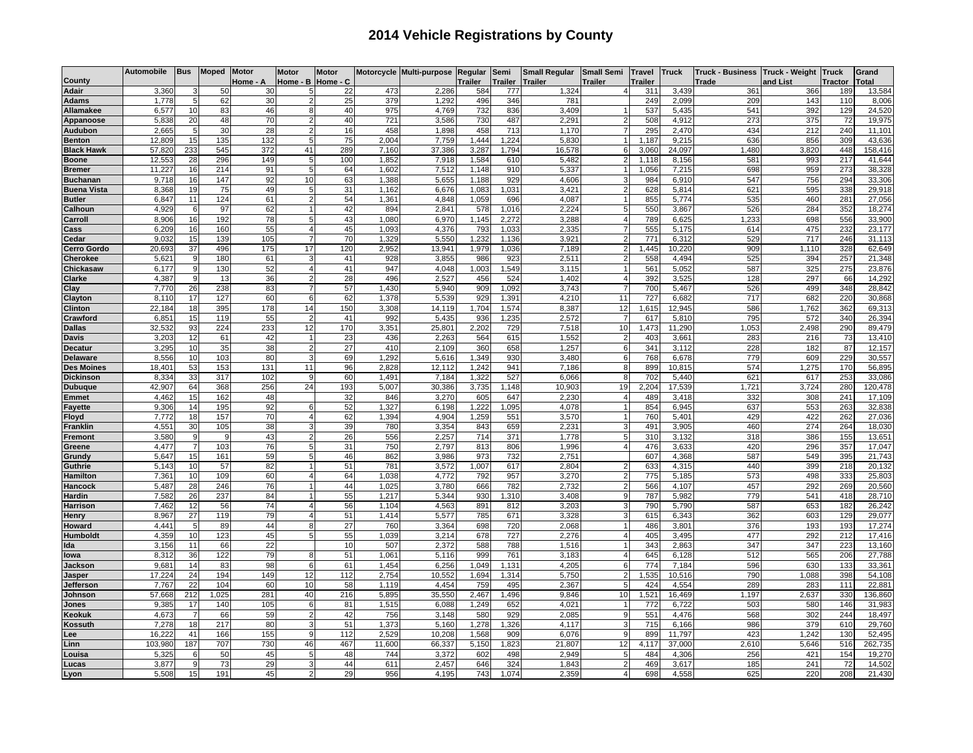## **2014 Vehicle Registrations by County**

|                                | Automobile      | Bus            | Moped      | <b>Motor</b> | <b>Motor</b> | <b>Motor</b> |              | Motorcycle Multi-purpose | Regular      | Semi            | <b>Small Regular</b> | <b>Small Semi</b>  | <b>Travel</b> | <b>Truck</b>    | <b>Truck - Business</b> | <b>Truck - Weight</b> | <b>Truck</b>           | Grand             |
|--------------------------------|-----------------|----------------|------------|--------------|--------------|--------------|--------------|--------------------------|--------------|-----------------|----------------------|--------------------|---------------|-----------------|-------------------------|-----------------------|------------------------|-------------------|
| County                         |                 |                |            | lome - A     | Home - B     | Home - C     |              |                          | Trailer      | <b>Trailer</b>  | Trailer              | Trailer            | railer        |                 | Trade                   | and List              | Tractor                | <b>Total</b>      |
| <b>Adair</b>                   | 3,360           | -5             | 50         | 30<br>30     | 5<br>2       | 22<br>25     | 473          | 2,286                    | 584          | 777<br>346      | 1,324                | $\overline{4}$     | 311<br>249    | 3,439           | 361<br>209              | 366                   | 189<br>110             | 13,584            |
| <b>Adams</b>                   | 1,778<br>6,57   | 10             | 62<br>83   | 46           |              | 40           | 379<br>975   | 1,292<br>4,769           | 496<br>732   | 836             | 781<br>3,409         |                    | 537           | 2,099<br>5,435  | 541                     | 143<br>392            | 129                    | 8,006<br>24,520   |
| Allamakee<br>Appanoose         | 5,838           | 20             | 48         | 70           |              | 40           | 721          | 3,586                    | 730          | 487             | 2,291                | $\overline{2}$     | 508           | 4,912           | 273                     | 375                   | 72                     | 19,975            |
| Audubon                        | 2,665           |                | 30         | 28           |              | 16           | 458          | 1,898                    | 458          | 713             | 1,170                | $\overline{7}$     | 295           | 2,470           | 434                     | 212                   | 240                    | 11,101            |
| <b>Benton</b>                  | 12,809          | 15             | 135        | 132          |              | 75           | 2.004        | 7,759                    | 1.444        | ,224            | 5,830                | $\mathbf{1}$       | 1,187         | 9,215           | 636                     | 856                   | 309                    | 43,636            |
| <b>Black Hawk</b>              | 57,820          | 233            | 545        | 372          | 41           | 289          | 7.160        | 37,386                   | 3,287        | 1.794           | 16,578               | 6                  | 3,060         | 24.097          | 1.480                   | 3.820                 | 448                    | 158,416           |
| <b>Boone</b>                   | 12,553          | 28             | 296        | 149          | 5            | 100          | 1,85         | 7,918                    | 1,584        | 61 <sub>C</sub> | 5,482                | $\overline{2}$     | 1,118         | 8,156           | 581                     | 993                   | 217                    | 41,644            |
| <b>Bremer</b>                  | 11,227          | 16             | 214        | 91           | 5            | 64           | 1,602        | 7,512                    | 1,148        | 910             | 5,337                | $\mathbf{1}$       | 1,056         | 7,215           | 698                     | 959                   | 273                    | 38,328            |
| <b>Buchanan</b>                | 9,718           | 16             | 147        | 92           | 10           | 63           | 1,388        | 5,655                    | 1,188        | 929             | 4,606                | 3                  | 984           | 6,910           | 547                     | 756                   | 294                    | 33,306            |
| <b>Buena Vista</b>             | 8,368           | 19             | 75         | 49           | 5            | 31           | 1.162        | 6,676                    | 1,083        | 1,031           | 3,421                | $\overline{2}$     | 628           | 5,814           | 621                     | 595                   | 338                    | 29,918            |
| <b>Butler</b>                  | 6,847           | 11             | 124        | 61           | 2            | 54           | 1,36         | 4,848                    | 1,059        | 696             | 4,087                | $\mathbf{1}$       | 855           | 5,774           | 535                     | 46 <sub>C</sub>       | 281                    | 27,056            |
| Calhoun                        | 4,929           | 6              | 97         | 62           |              | 42           | 894          | 2,841                    | 578          | 1,016           | 2,224                | 5                  | 550           | 3,867           | 526                     | 284                   | 352                    | 18,274            |
| arroll;                        | 8,906           | 16             | 192        | 78           | 5            | 43           | 1,080        | 6,970                    | 1,145        | 2,272           | 3,288                | $\overline{4}$     | 789           | 6,625           | 1,233                   | 698                   | 556                    | 33,900            |
| Cass                           | 6,209           | 16             | 160        | 55           |              | 45           | 1,093        | 4,376                    | 793          | 1,033           | 2,335                | $\overline{7}$     | 555           | 5,175           | 614                     | 475                   | 232                    | 23,177            |
| `edar                          | 9,032           | 15             | 139        | 105          |              | 70           | 1,329        | 5,550                    | 1,232        | 1,136           | 3,921                | $\overline{2}$     | 771           | 6,312           | 529                     | 717                   | 246                    | 31,113            |
| <b>Cerro Gordo</b>             | 20,693          | 37             | 496        | 175          | 17           | 120          | 2.952        | 13,941                   | 1,979        | 1,036           | 7,189                | $\overline{2}$     | 1,445         | 10,220          | 909                     | 1,110                 | 328                    | 62,649            |
| <b>Cherokee</b>                | 5,621           |                | 180        | 61           | 3            | 41           | 928          | 3,855                    | 986          | 923             | 2,511                | $\overline{2}$     | 558           | 4,494           | 525                     | 394                   | 257                    | 21,348            |
| Chickasaw                      | 6,177           | 9              | 130        | 52           | 4            | 41           | 947          | 4,048                    | 1,003        | 1,549           | 3,115                | $\mathbf{1}$       | 561           | 5,052           | 587                     | 325                   | 275                    | 23,876            |
| Clarke                         | 4,387           | q              | 13         | 36           |              | 28           | 496          | 2,527                    | 456          | 524             | 1,402                | $\overline{4}$     | 392           | 3,525           | 128                     | 297                   | 66                     | 14,292            |
| Clay                           | 7.770           | 26             | 238        | 83           |              | 57           | 1,430        | 5,940                    | 909          | 1.092           | 3,743                | 7                  | 700           | 5.467           | 526                     | 499                   | 348                    | 28,842            |
| Clayton                        | 8,110           | 17             | 127        | 60           | 6            | 62           | 1,378        | 5,539                    | 929          | 1,391           | 4,210                | 11                 | 727           | 6,682           | 717                     | 682                   | 220                    | 30,868            |
| <b>Clinton</b>                 | 22.184          | 18             | 395        | 178          | 14           | 150          | 3.308        | 14.119                   | 1.704        | 1.574           | 8.387                | 12                 | 1.615         | 12.945          | 586                     | 1.762                 | 362                    | 69,313            |
| Crawford                       | 6,85'           | 15             | 119        | 55           |              | 41           | 992          | 5,435                    | 936          | 1,235           | 2,572                | $\overline{7}$     | 617           | 5,810           | 795                     | 572                   | 340                    | 26,394            |
| <b>Dallas</b>                  | 32,532          | 93             | 224        | 233          | 12           | 170          | 3,35         | 25,80'                   | 2,20         | 729             | 7,518                | 10                 | 1,473         | 11,290          | 1,053                   | 2,498                 | 290                    | 89,479            |
| <b>Davis</b>                   | 3,20            | 12             | 61         | 42           | 1            | 23           | 436          | 2,263                    | 564          | 615             | 1,552                | $\overline{2}$     | 403           | 3,661           | 283                     | 216                   | 73                     | 13,410            |
| <b>Decatur</b>                 | 3,295           | 10             | 35         | 38           | 2            | 27           | 410          | 2,109                    | 360          | 658             | 1,257                | 6                  | 341           | 3,112           | 228                     | 182                   | 87                     | 12,157            |
| <b>Delaware</b>                | 8,556           | 10             | 103        | 80           |              | 69           | 1,292        | 5,616                    | 1,349        | 930             | 3,480                | 6                  | 768           | 6,678           | 779                     | 609                   | 229                    | 30,557            |
| <b>Des Moines</b>              | 18,401          | 53             | 153        | 131          | 11           | 96           | 2,828        | 12,112                   | 1,242        | 941             | 7,186                | 8                  | 899           | 10,815          | 574                     | 1,275                 | 170                    | 56,895            |
| <b>Dickinson</b>               | 8,334           | 33             | 317        | 102          | 24           | 60           | 1,49         | 7,184                    | 1,322        | 527             | 6,066<br>10,903      | 8<br>19            | 702           | 5,440           | 621<br>1,721            | 617<br>3,724          | 253<br>280             | 33,086            |
| <b>Dubuque</b><br><b>Emmet</b> | 42,907<br>4,462 | 64<br>15       | 368<br>162 | 256<br>48    |              | 193<br>32    | 5,007<br>846 | 30,386<br>3,270          | 3,735<br>605 | ,148<br>647     | 2,230                | $\overline{4}$     | 2,204<br>489  | 17,539<br>3.418 | 332                     | 308                   | 241                    | 120,478<br>17,109 |
| <b>Fayette</b>                 | 9,306           | 14             | 195        | 92           | 6            | 52           | 1,327        | 6,198                    | 1,222        | ,095            | 4,078                | $\overline{1}$     | 854           | 6,945           | 637                     | 553                   | 263                    | 32,838            |
| Floyd                          | 7,772           | 18             | 157        | 70           | 4            | 62           | 1,394        | 4,904                    | 1,259        | 551             | 3,570                | $\mathbf{1}$       | 760           | 5,401           | 429                     | 422                   | 262                    | 27,036            |
| <b>Franklin</b>                | 4,55'           | 30             | 105        | 38           |              | 39           | 780          | 3,354                    | 843          | 659             | 2,23'                | 3                  | 49            | 3,905           | 460                     | 274                   | 264                    | 18,030            |
| remont                         | 3,580           |                | g          | 43           |              | 26           | 556          | 2,257                    | 714          | 371             | 1,778                | 5                  | 31C           | 3,132           | 318                     | 386                   | 155                    | 13,651            |
| Greene                         | 4,477           | $\overline{7}$ | 103        | 76           | 5            | 31           | 750          | 2,797                    | 813          | 806             | 1,996                | $\overline{4}$     | 476           | 3,633           | 420                     | 296                   | 357                    | 17,047            |
| Grundy                         | 5,647           | 15             | 161        | 59           |              | 46           | 862          | 3,986                    | 973          | 732             | 2,751                |                    | 607           | 4,368           | 587                     | 549                   | 395                    | 21,743            |
| Guthrie                        | 5,143           | 10             | 57         | 82           |              | 51           | 781          | 3,572                    | 1,007        | 617             | 2,804                | $\overline{2}$     | 633           | 4,315           | 440                     | 399                   | 218                    | 20,132            |
| lamilton                       | 7,361           | 10             | 109        | 60           |              | 64           | 1,03         | 4,772                    | 792          | 957             | 3,270                | $\overline{2}$     | 775           | 5,185           | 573                     | 498                   | 333                    | 25,803            |
| lancock                        | 5,487           | 28             | 246        | 76           |              | 44           | 1.025        | 3,780                    | 666          | 782             | 2,732                | 2                  | 566           | 4,107           | 457                     | 292                   | 269                    | 20,560            |
| lardin                         | 7,582           | 26             | 237        | 84           | 1            | 55           | 1,217        | 5,344                    | 930          | 1.310           | 3,408                | 9                  | 787           | 5,982           | 779                     | 541                   | 418                    | 28,710            |
| Harrison                       | 7,462           | 12             | 56         | 74           |              | 56           | 1,104        | 4,563                    | 891          | 812             | 3,203                | 3                  | 790           | 5,790           | 587                     | 653                   | 182                    | 26,242            |
| lenry                          | 8,967           | 27             | 119        | 79           |              | 51           | 1,414        | 5,577                    | 785          | 671             | 3,328                | 3                  | 615           | 6,343           | 362                     | 603                   | 129                    | 29,077            |
| Howard                         | 4,441           |                | 89         | 44           |              | 27           | 760          | 3,364                    | 698          | 720             | 2,068                | $\mathbf{1}$       | 486           | 3,801           | 376                     | 193                   | 193                    | 17,274            |
| Humboldt                       | 4,359           | 10             | 123        | 45           |              | 55           | 1.039        | 3,214                    | 678          | 727             | 2,276                | $\overline{4}$     | 405           | 3,495           | 477                     | 292                   | 212                    | 17,416            |
| Ida                            | 3,156           | 11             | 66         | 22           |              | 10           | 507          | 2,372                    | 588          | 788             | 1,516                | $\mathbf{1}$       | 343           | 2,863           | 347                     | 347                   | 223                    | 13,160            |
| lowa                           | 8,312           | 36             | 122        | 79           | 8            | 51           | 1,06         | 5,116                    | 999          | 761             | 3,183                | $\overline{4}$     | 645           | 6,128           | 512                     | 565                   | 206                    | 27,788            |
| Jackson                        | 9,681           | 14             | 83         | 98           | 6            | 61           | 1,454        | 6,256                    | 1,049        | 1,131           | 4,205                | 6                  | 774           | 7,184           | 596                     | <b>630</b>            | 133                    | 33,36'            |
| Jasper                         | 17,224          | 24             | 194        | 149          | 12           | 112          | 2,75         | 10,552                   | 1,694        | 1,314           | 5,750                | $\overline{2}$     | 1,535         | 10,516          | 790                     | 1,088                 | 398                    | 54,108            |
| Jeffersor                      | 7,767           | 22             | 104        | 60           | 10           | 58           | 1.119        | 4,454                    | 759          | 495             | 2,367                | 5                  | 424           | 4,554           | 289                     | 283                   | 111                    | 22,881            |
| Johnson                        | 57,668          | 212<br>17      | 1,025      | 281          | 40<br>6      | 216          | 5,895        | 35,550                   | 2,467        | 1,496           | 9,846                | 10<br>$\mathbf{1}$ | 1,521<br>772  | 16,469          | 1,197                   | 2,637                 | 330<br>146             | 136,860           |
| lones                          | 9,385           |                | 140        | 105          |              | 81           | 1,515        | 6,088                    | 1,249        | 652             | 4,021<br>2,085       |                    | 551           | 6,722           | 503                     | 580                   |                        | 31,983            |
| <b>ƙeokuk</b>                  | 4,673<br>7.278  |                | 66<br>217  | 59<br>80     | 2            | 42<br>51     | 756<br>1,37  | 3,148                    | 580<br>1,278 | 929<br>,326     | 4,117                | 9<br>3             | 715           | 4,476<br>6,166  | 568<br>986              | 302<br>379            | 244<br>61 <sub>C</sub> | 18,497<br>29,760  |
| <b>ໂossuth</b><br>ee           | 16,222          | 18<br>41       | 166        | 155          | 9            | 112          | 2,529        | 5,160<br>10,208          | 1,568        | 909             | 6,076                | 9                  | 899           | 11,797          | 423                     | 1,242                 | 130                    | 52,495            |
|                                | 103,980         | 187            | 707        | 730          | 46           | 467          | 11,600       | 66,337                   | 5,150        | 1,823           | 21,807               | 12                 | 4,117         | 37,000          | 2,610                   | 5,646                 | 516                    | 262,735           |
| inn<br>ouisa                   | 5,325           | 6              | 50         | 45           | 5            | 48           | 744          | 3,372                    | 602          | 498             | 2,949                | 5 <sub>5</sub>     | 484           | 4,306           | 256                     | 421                   | 154                    | 19,270            |
| ucas.                          | 3,877           | 9              | 73         | 29           | 3            | 44           | 61           | 2,457                    | 646          | 324             | 1,843                | $\overline{2}$     | 469           | 3,617           | 185                     | 241                   | 72                     | 14,502            |
| yon                            | 5,508           | 15             | 191        | 45           |              | 29           | 956          | 4,195                    | 743          | 1,074           | 2,359                | 4                  | 698           | 4,558           | 625                     | 220                   | 208                    | 21,430            |
|                                |                 |                |            |              |              |              |              |                          |              |                 |                      |                    |               |                 |                         |                       |                        |                   |